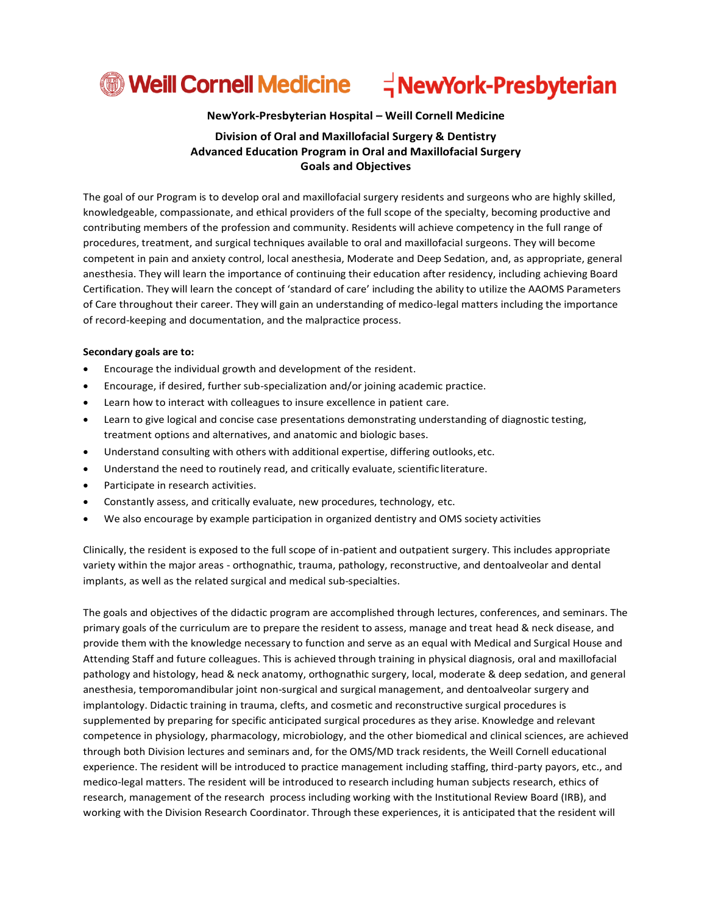# **<sup>1</sup> Weill Cornell Medicine**  $\vec{a}$ NewYork-Presbyterian

**NewYork-Presbyterian Hospital – Weill Cornell Medicine**

# **Division of Oral and Maxillofacial Surgery & Dentistry Advanced Education Program in Oral and Maxillofacial Surgery Goals and Objectives**

The goal of our Program is to develop oral and maxillofacial surgery residents and surgeons who are highly skilled, knowledgeable, compassionate, and ethical providers of the full scope of the specialty, becoming productive and contributing members of the profession and community. Residents will achieve competency in the full range of procedures, treatment, and surgical techniques available to oral and maxillofacial surgeons. They will become competent in pain and anxiety control, local anesthesia, Moderate and Deep Sedation, and, as appropriate, general anesthesia. They will learn the importance of continuing their education after residency, including achieving Board Certification. They will learn the concept of 'standard of care' including the ability to utilize the AAOMS Parameters of Care throughout their career. They will gain an understanding of medico-legal matters including the importance of record-keeping and documentation, and the malpractice process.

#### **Secondary goals are to:**

- Encourage the individual growth and development of the resident.
- Encourage, if desired, further sub-specialization and/or joining academic practice.
- Learn how to interact with colleagues to insure excellence in patient care.
- Learn to give logical and concise case presentations demonstrating understanding of diagnostic testing, treatment options and alternatives, and anatomic and biologic bases.
- Understand consulting with others with additional expertise, differing outlooks, etc.
- Understand the need to routinely read, and critically evaluate, scientific literature.
- Participate in research activities.
- Constantly assess, and critically evaluate, new procedures, technology, etc.
- We also encourage by example participation in organized dentistry and OMS society activities

Clinically, the resident is exposed to the full scope of in-patient and outpatient surgery. This includes appropriate variety within the major areas - orthognathic, trauma, pathology, reconstructive, and dentoalveolar and dental implants, as well as the related surgical and medical sub-specialties.

The goals and objectives of the didactic program are accomplished through lectures, conferences, and seminars. The primary goals of the curriculum are to prepare the resident to assess, manage and treat head & neck disease, and provide them with the knowledge necessary to function and serve as an equal with Medical and Surgical House and Attending Staff and future colleagues. This is achieved through training in physical diagnosis, oral and maxillofacial pathology and histology, head & neck anatomy, orthognathic surgery, local, moderate & deep sedation, and general anesthesia, temporomandibular joint non-surgical and surgical management, and dentoalveolar surgery and implantology. Didactic training in trauma, clefts, and cosmetic and reconstructive surgical procedures is supplemented by preparing for specific anticipated surgical procedures as they arise. Knowledge and relevant competence in physiology, pharmacology, microbiology, and the other biomedical and clinical sciences, are achieved through both Division lectures and seminars and, for the OMS/MD track residents, the Weill Cornell educational experience. The resident will be introduced to practice management including staffing, third-party payors, etc., and medico-legal matters. The resident will be introduced to research including human subjects research, ethics of research, management of the research process including working with the Institutional Review Board (IRB), and working with the Division Research Coordinator. Through these experiences, it is anticipated that the resident will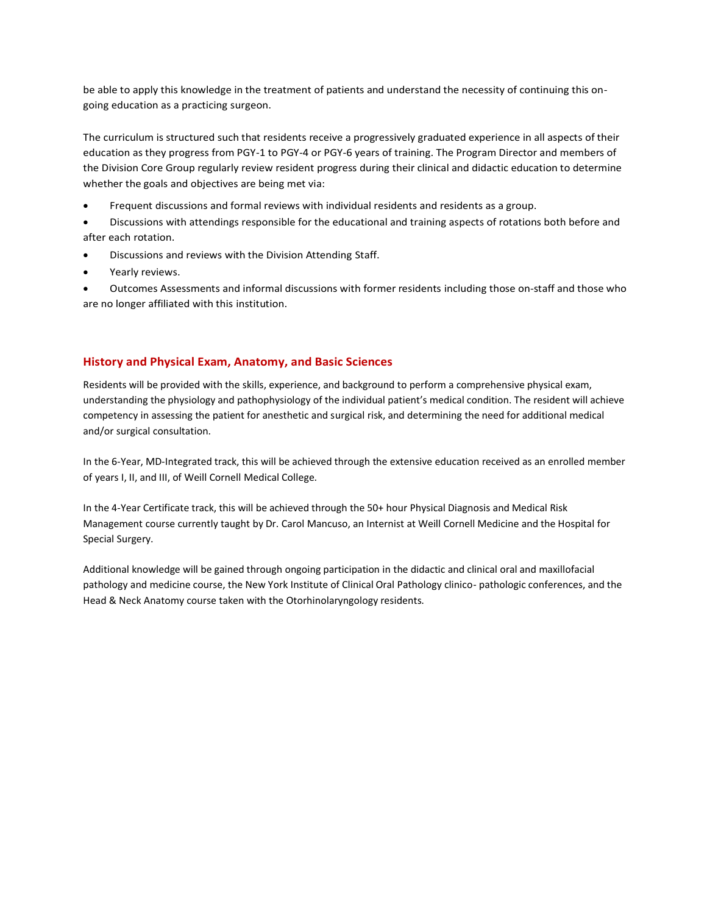be able to apply this knowledge in the treatment of patients and understand the necessity of continuing this ongoing education as a practicing surgeon.

The curriculum is structured such that residents receive a progressively graduated experience in all aspects of their education as they progress from PGY-1 to PGY-4 or PGY-6 years of training. The Program Director and members of the Division Core Group regularly review resident progress during their clinical and didactic education to determine whether the goals and objectives are being met via:

• Frequent discussions and formal reviews with individual residents and residents as a group.

• Discussions with attendings responsible for the educational and training aspects of rotations both before and after each rotation.

- Discussions and reviews with the Division Attending Staff.
- Yearly reviews.

• Outcomes Assessments and informal discussions with former residents including those on-staff and those who are no longer affiliated with this institution.

### **History and Physical Exam, Anatomy, and Basic Sciences**

Residents will be provided with the skills, experience, and background to perform a comprehensive physical exam, understanding the physiology and pathophysiology of the individual patient's medical condition. The resident will achieve competency in assessing the patient for anesthetic and surgical risk, and determining the need for additional medical and/or surgical consultation.

In the 6-Year, MD-Integrated track, this will be achieved through the extensive education received as an enrolled member of years I, II, and III, of Weill Cornell Medical College.

In the 4-Year Certificate track, this will be achieved through the 50+ hour Physical Diagnosis and Medical Risk Management course currently taught by Dr. Carol Mancuso, an Internist at Weill Cornell Medicine and the Hospital for Special Surgery.

Additional knowledge will be gained through ongoing participation in the didactic and clinical oral and maxillofacial pathology and medicine course, the New York Institute of Clinical Oral Pathology clinico- pathologic conferences, and the Head & Neck Anatomy course taken with the Otorhinolaryngology residents.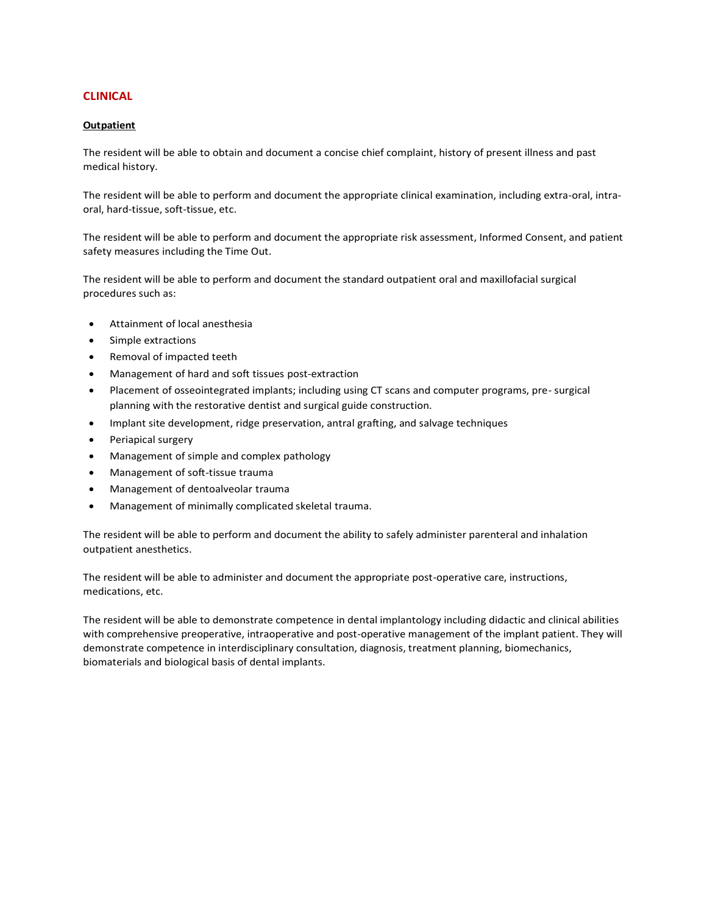## **CLINICAL**

#### **Outpatient**

The resident will be able to obtain and document a concise chief complaint, history of present illness and past medical history.

The resident will be able to perform and document the appropriate clinical examination, including extra-oral, intraoral, hard-tissue, soft-tissue, etc.

The resident will be able to perform and document the appropriate risk assessment, Informed Consent, and patient safety measures including the Time Out.

The resident will be able to perform and document the standard outpatient oral and maxillofacial surgical procedures such as:

- Attainment of local anesthesia
- Simple extractions
- Removal of impacted teeth
- Management of hard and soft tissues post-extraction
- Placement of osseointegrated implants; including using CT scans and computer programs, pre- surgical planning with the restorative dentist and surgical guide construction.
- Implant site development, ridge preservation, antral grafting, and salvage techniques
- Periapical surgery
- Management of simple and complex pathology
- Management of soft-tissue trauma
- Management of dentoalveolar trauma
- Management of minimally complicated skeletal trauma.

The resident will be able to perform and document the ability to safely administer parenteral and inhalation outpatient anesthetics.

The resident will be able to administer and document the appropriate post-operative care, instructions, medications, etc.

The resident will be able to demonstrate competence in dental implantology including didactic and clinical abilities with comprehensive preoperative, intraoperative and post-operative management of the implant patient. They will demonstrate competence in interdisciplinary consultation, diagnosis, treatment planning, biomechanics, biomaterials and biological basis of dental implants.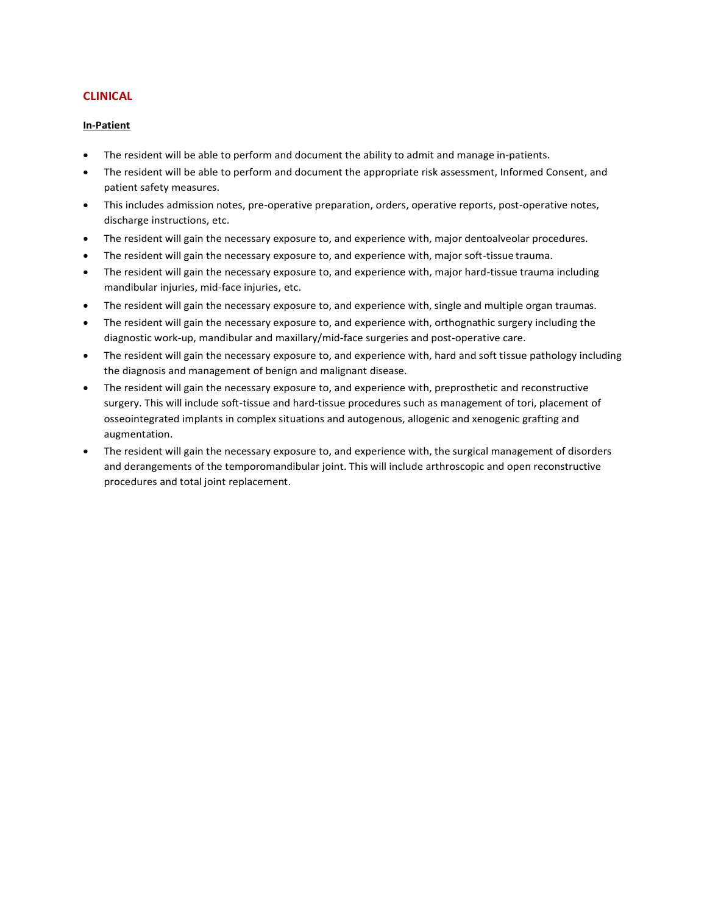## **CLINICAL**

#### **In-Patient**

- The resident will be able to perform and document the ability to admit and manage in-patients.
- The resident will be able to perform and document the appropriate risk assessment, Informed Consent, and patient safety measures.
- This includes admission notes, pre-operative preparation, orders, operative reports, post-operative notes, discharge instructions, etc.
- The resident will gain the necessary exposure to, and experience with, major dentoalveolar procedures.
- The resident will gain the necessary exposure to, and experience with, major soft-tissue trauma.
- The resident will gain the necessary exposure to, and experience with, major hard-tissue trauma including mandibular injuries, mid-face injuries, etc.
- The resident will gain the necessary exposure to, and experience with, single and multiple organ traumas.
- The resident will gain the necessary exposure to, and experience with, orthognathic surgery including the diagnostic work-up, mandibular and maxillary/mid-face surgeries and post-operative care.
- The resident will gain the necessary exposure to, and experience with, hard and soft tissue pathology including the diagnosis and management of benign and malignant disease.
- The resident will gain the necessary exposure to, and experience with, preprosthetic and reconstructive surgery. This will include soft-tissue and hard-tissue procedures such as management of tori, placement of osseointegrated implants in complex situations and autogenous, allogenic and xenogenic grafting and augmentation.
- The resident will gain the necessary exposure to, and experience with, the surgical management of disorders and derangements of the temporomandibular joint. This will include arthroscopic and open reconstructive procedures and total joint replacement.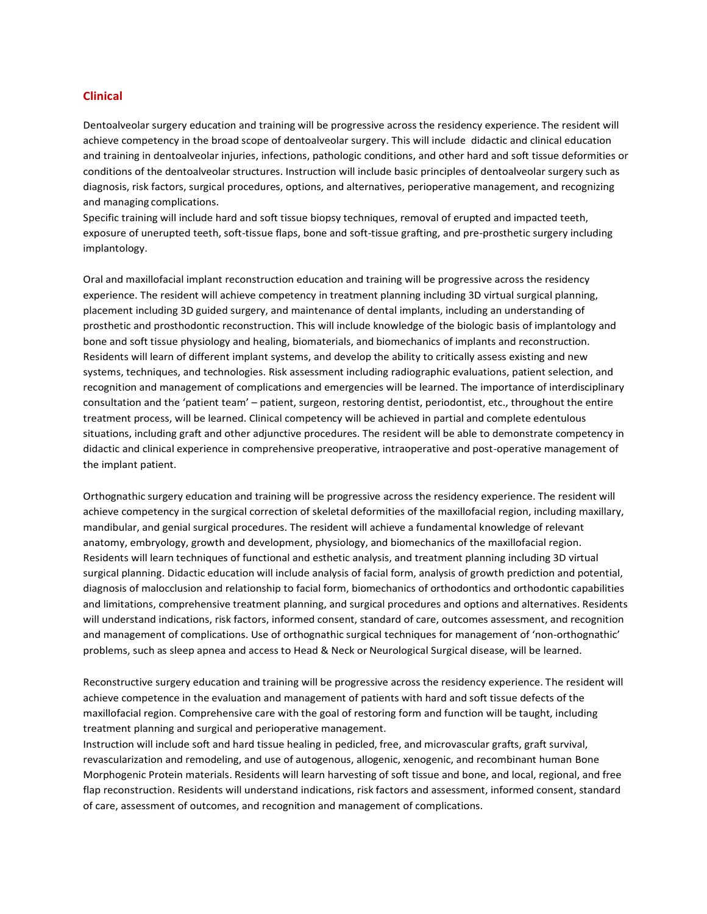#### **Clinical**

Dentoalveolar surgery education and training will be progressive across the residency experience. The resident will achieve competency in the broad scope of dentoalveolar surgery. This will include didactic and clinical education and training in dentoalveolar injuries, infections, pathologic conditions, and other hard and soft tissue deformities or conditions of the dentoalveolar structures. Instruction will include basic principles of dentoalveolar surgery such as diagnosis, risk factors, surgical procedures, options, and alternatives, perioperative management, and recognizing and managing complications.

Specific training will include hard and soft tissue biopsy techniques, removal of erupted and impacted teeth, exposure of unerupted teeth, soft-tissue flaps, bone and soft-tissue grafting, and pre-prosthetic surgery including implantology.

Oral and maxillofacial implant reconstruction education and training will be progressive across the residency experience. The resident will achieve competency in treatment planning including 3D virtual surgical planning, placement including 3D guided surgery, and maintenance of dental implants, including an understanding of prosthetic and prosthodontic reconstruction. This will include knowledge of the biologic basis of implantology and bone and soft tissue physiology and healing, biomaterials, and biomechanics of implants and reconstruction. Residents will learn of different implant systems, and develop the ability to critically assess existing and new systems, techniques, and technologies. Risk assessment including radiographic evaluations, patient selection, and recognition and management of complications and emergencies will be learned. The importance of interdisciplinary consultation and the 'patient team' – patient, surgeon, restoring dentist, periodontist, etc., throughout the entire treatment process, will be learned. Clinical competency will be achieved in partial and complete edentulous situations, including graft and other adjunctive procedures. The resident will be able to demonstrate competency in didactic and clinical experience in comprehensive preoperative, intraoperative and post-operative management of the implant patient.

Orthognathic surgery education and training will be progressive across the residency experience. The resident will achieve competency in the surgical correction of skeletal deformities of the maxillofacial region, including maxillary, mandibular, and genial surgical procedures. The resident will achieve a fundamental knowledge of relevant anatomy, embryology, growth and development, physiology, and biomechanics of the maxillofacial region. Residents will learn techniques of functional and esthetic analysis, and treatment planning including 3D virtual surgical planning. Didactic education will include analysis of facial form, analysis of growth prediction and potential, diagnosis of malocclusion and relationship to facial form, biomechanics of orthodontics and orthodontic capabilities and limitations, comprehensive treatment planning, and surgical procedures and options and alternatives. Residents will understand indications, risk factors, informed consent, standard of care, outcomes assessment, and recognition and management of complications. Use of orthognathic surgical techniques for management of 'non-orthognathic' problems, such as sleep apnea and access to Head & Neck or Neurological Surgical disease, will be learned.

Reconstructive surgery education and training will be progressive across the residency experience. The resident will achieve competence in the evaluation and management of patients with hard and soft tissue defects of the maxillofacial region. Comprehensive care with the goal of restoring form and function will be taught, including treatment planning and surgical and perioperative management.

Instruction will include soft and hard tissue healing in pedicled, free, and microvascular grafts, graft survival, revascularization and remodeling, and use of autogenous, allogenic, xenogenic, and recombinant human Bone Morphogenic Protein materials. Residents will learn harvesting of soft tissue and bone, and local, regional, and free flap reconstruction. Residents will understand indications, risk factors and assessment, informed consent, standard of care, assessment of outcomes, and recognition and management of complications.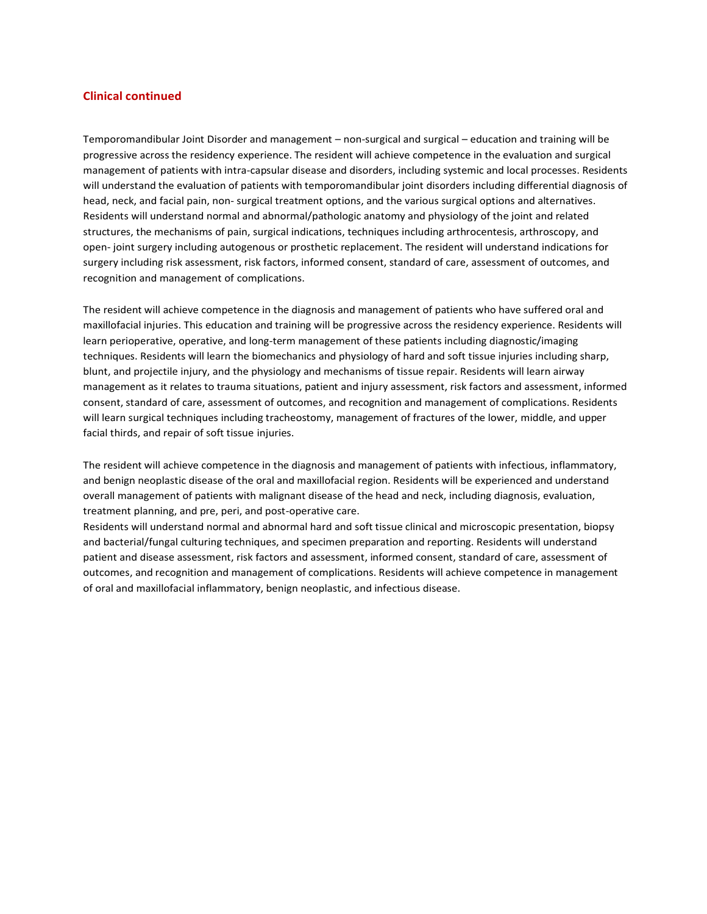### **Clinical continued**

Temporomandibular Joint Disorder and management – non-surgical and surgical – education and training will be progressive across the residency experience. The resident will achieve competence in the evaluation and surgical management of patients with intra-capsular disease and disorders, including systemic and local processes. Residents will understand the evaluation of patients with temporomandibular joint disorders including differential diagnosis of head, neck, and facial pain, non- surgical treatment options, and the various surgical options and alternatives. Residents will understand normal and abnormal/pathologic anatomy and physiology of the joint and related structures, the mechanisms of pain, surgical indications, techniques including arthrocentesis, arthroscopy, and open- joint surgery including autogenous or prosthetic replacement. The resident will understand indications for surgery including risk assessment, risk factors, informed consent, standard of care, assessment of outcomes, and recognition and management of complications.

The resident will achieve competence in the diagnosis and management of patients who have suffered oral and maxillofacial injuries. This education and training will be progressive across the residency experience. Residents will learn perioperative, operative, and long-term management of these patients including diagnostic/imaging techniques. Residents will learn the biomechanics and physiology of hard and soft tissue injuries including sharp, blunt, and projectile injury, and the physiology and mechanisms of tissue repair. Residents will learn airway management as it relates to trauma situations, patient and injury assessment, risk factors and assessment, informed consent, standard of care, assessment of outcomes, and recognition and management of complications. Residents will learn surgical techniques including tracheostomy, management of fractures of the lower, middle, and upper facial thirds, and repair of soft tissue injuries.

The resident will achieve competence in the diagnosis and management of patients with infectious, inflammatory, and benign neoplastic disease of the oral and maxillofacial region. Residents will be experienced and understand overall management of patients with malignant disease of the head and neck, including diagnosis, evaluation, treatment planning, and pre, peri, and post-operative care.

Residents will understand normal and abnormal hard and soft tissue clinical and microscopic presentation, biopsy and bacterial/fungal culturing techniques, and specimen preparation and reporting. Residents will understand patient and disease assessment, risk factors and assessment, informed consent, standard of care, assessment of outcomes, and recognition and management of complications. Residents will achieve competence in management of oral and maxillofacial inflammatory, benign neoplastic, and infectious disease.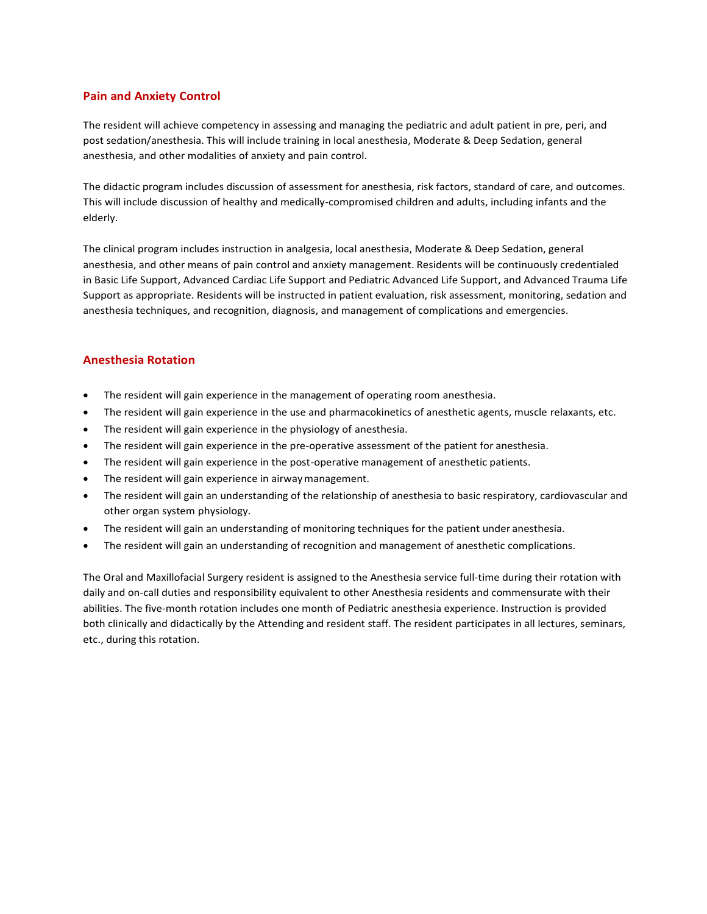### **Pain and Anxiety Control**

The resident will achieve competency in assessing and managing the pediatric and adult patient in pre, peri, and post sedation/anesthesia. This will include training in local anesthesia, Moderate & Deep Sedation, general anesthesia, and other modalities of anxiety and pain control.

The didactic program includes discussion of assessment for anesthesia, risk factors, standard of care, and outcomes. This will include discussion of healthy and medically-compromised children and adults, including infants and the elderly.

The clinical program includes instruction in analgesia, local anesthesia, Moderate & Deep Sedation, general anesthesia, and other means of pain control and anxiety management. Residents will be continuously credentialed in Basic Life Support, Advanced Cardiac Life Support and Pediatric Advanced Life Support, and Advanced Trauma Life Support as appropriate. Residents will be instructed in patient evaluation, risk assessment, monitoring, sedation and anesthesia techniques, and recognition, diagnosis, and management of complications and emergencies.

# **Anesthesia Rotation**

- The resident will gain experience in the management of operating room anesthesia.
- The resident will gain experience in the use and pharmacokinetics of anesthetic agents, muscle relaxants, etc.
- The resident will gain experience in the physiology of anesthesia.
- The resident will gain experience in the pre-operative assessment of the patient for anesthesia.
- The resident will gain experience in the post-operative management of anesthetic patients.
- The resident will gain experience in airway management.
- The resident will gain an understanding of the relationship of anesthesia to basic respiratory, cardiovascular and other organ system physiology.
- The resident will gain an understanding of monitoring techniques for the patient under anesthesia.
- The resident will gain an understanding of recognition and management of anesthetic complications.

The Oral and Maxillofacial Surgery resident is assigned to the Anesthesia service full-time during their rotation with daily and on-call duties and responsibility equivalent to other Anesthesia residents and commensurate with their abilities. The five-month rotation includes one month of Pediatric anesthesia experience. Instruction is provided both clinically and didactically by the Attending and resident staff. The resident participates in all lectures, seminars, etc., during this rotation.